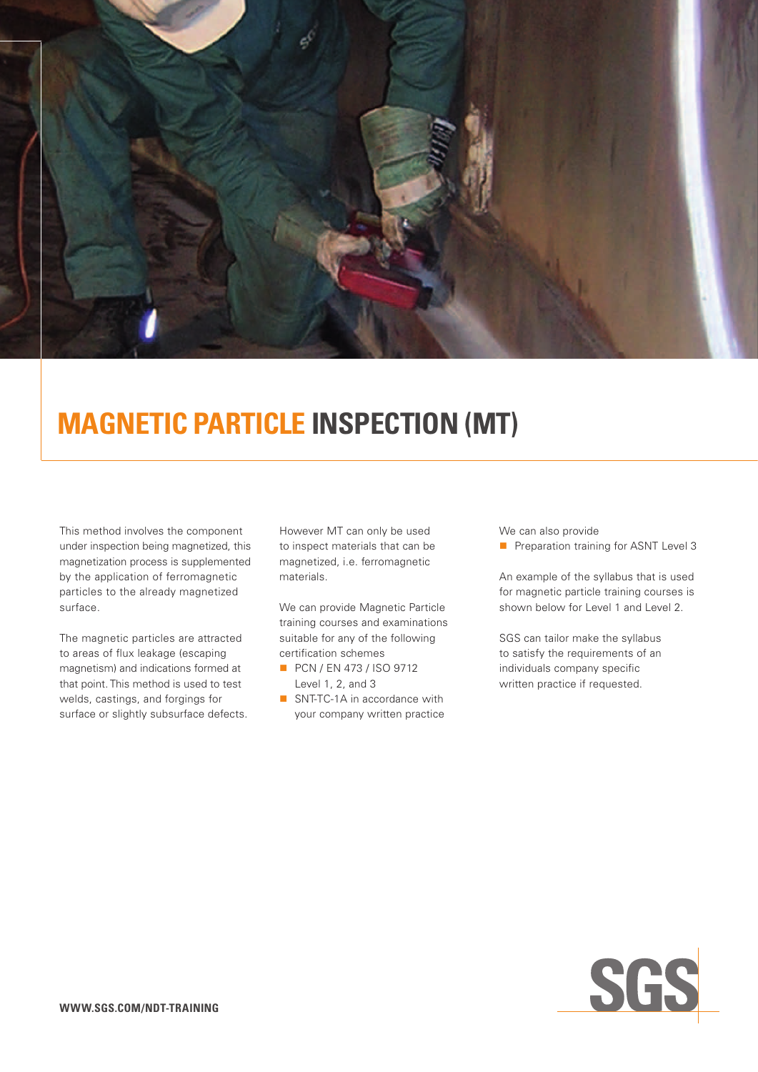

# **Magnetic Particle Inspection (MT)**

This method involves the component under inspection being magnetized, this magnetization process is supplemented by the application of ferromagnetic particles to the already magnetized surface.

The magnetic particles are attracted to areas of flux leakage (escaping magnetism) and indications formed at that point. This method is used to test welds, castings, and forgings for surface or slightly subsurface defects. However MT can only be used to inspect materials that can be magnetized, i.e. ferromagnetic materials.

We can provide Magnetic Particle training courses and examinations suitable for any of the following certification schemes

- **PCN / EN 473 / ISO 9712** Level 1, 2, and 3
- SNT-TC-1A in accordance with your company written practice

We can also provide

**n** Preparation training for ASNT Level 3

An example of the syllabus that is used for magnetic particle training courses is shown below for Level 1 and Level 2.

SGS can tailor make the syllabus to satisfy the requirements of an individuals company specific written practice if requested.